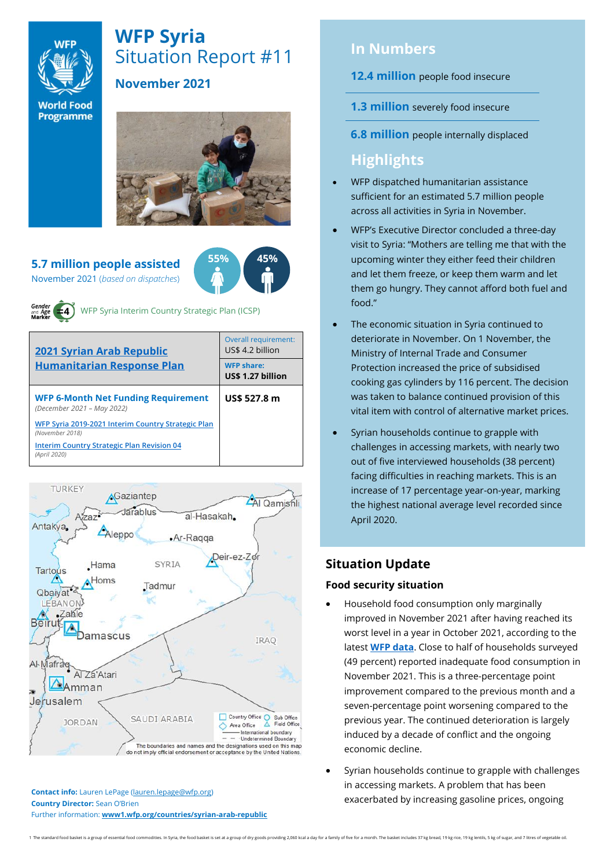

# **WFP Syria** Situation Report #11

## **November 2021**

**World Food** Programme



#### **5.7 million people assisted**  November 2021 (*based on dispatches*)



and Age

WFP Syria Interim Country Strategic Plan (ICSP)

| <b>2021 Syrian Arab Republic</b><br><b>Humanitarian Response Plan</b>    | Overall requirement:<br>US\$ 4.2 billion |  |  |
|--------------------------------------------------------------------------|------------------------------------------|--|--|
|                                                                          | <b>WFP share:</b><br>US\$ 1.27 billion   |  |  |
| <b>WFP 6-Month Net Funding Requirement</b><br>(December 2021 - May 2022) | US\$ 527.8 m                             |  |  |
| WFP Syria 2019-2021 Interim Country Strategic Plan<br>(November 2018)    |                                          |  |  |
| <b>Interim Country Strategic Plan Revision 04</b><br>(April 2020)        |                                          |  |  |



**Contact info:** Lauren LePage [\(lauren.lepage@wfp.org\)](mailto:lauren.lepage@wfp.org) **Country Director:** Sean O'Brien Further information: **[www1.wfp.org/countries/syrian-arab-republic](file:///C:/Users/lauren.lepage/AppData/Local/Microsoft/Windows/INetCache/Content.Outlook/HTRVWXQN/www1.wfp.org/countries/syrian-arab-republic)**

# **In Numbers**

**12.4 million** people food insecure

- **1.3 million** severely food insecure
- **6.8 million** people internally displaced

# **Highlights**

- WFP dispatched humanitarian assistance sufficient for an estimated 5.7 million people across all activities in Syria in November.
- WFP's Executive Director concluded a three-day visit to Syria: "Mothers are telling me that with the upcoming winter they either feed their children and let them freeze, or keep them warm and let them go hungry. They cannot afford both fuel and food."
- The economic situation in Syria continued to deteriorate in November. On 1 November, the Ministry of Internal Trade and Consumer Protection increased the price of subsidised cooking gas cylinders by 116 percent. The decision was taken to balance continued provision of this vital item with control of alternative market prices.
- Syrian households continue to grapple with challenges in accessing markets, with nearly two out of five interviewed households (38 percent) facing difficulties in reaching markets. This is an increase of 17 percentage year-on-year, marking the highest national average level recorded since April 2020.

# **Situation Update**

### **Food security situation**

- Household food consumption only marginally improved in November 2021 after having reached its worst level in a year in October 2021, according to the latest **[WFP data](https://docs.wfp.org/api/documents/WFP-0000135042/download/)**. Close to half of households surveyed (49 percent) reported inadequate food consumption in November 2021. This is a three-percentage point improvement compared to the previous month and a seven-percentage point worsening compared to the previous year. The continued deterioration is largely induced by a decade of conflict and the ongoing economic decline.
- Syrian households continue to grapple with challenges in accessing markets. A problem that has been exacerbated by increasing gasoline prices, ongoing

1 The standard food basket is a group of essential food commodities. In Syria, the food basket is set at a group of dry goods providing 2,060 kcal a day for a family of five for a month. The basket indudes 37 kg bread, 19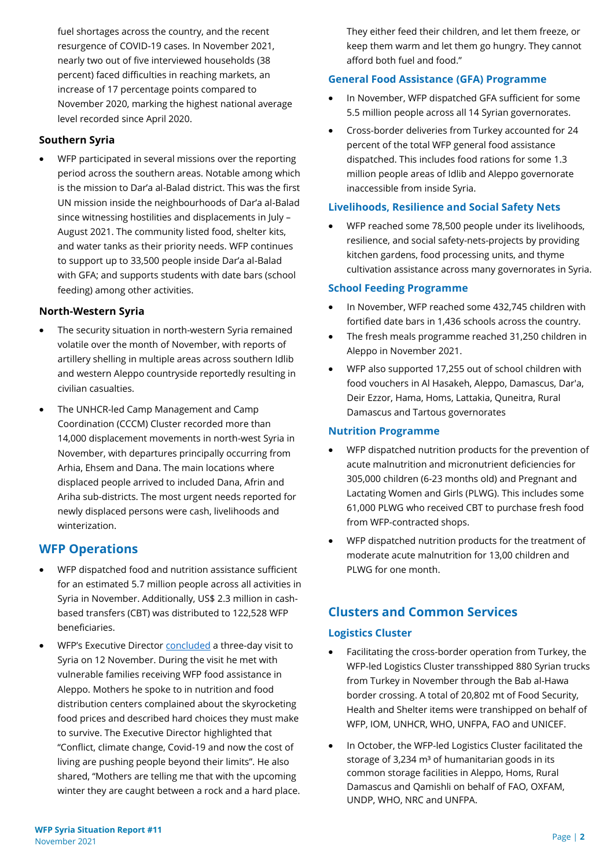fuel shortages across the country, and the recent resurgence of COVID-19 cases. In November 2021, nearly two out of five interviewed households (38 percent) faced difficulties in reaching markets, an increase of 17 percentage points compared to November 2020, marking the highest national average level recorded since April 2020.

#### **Southern Syria**

• WFP participated in several missions over the reporting period across the southern areas. Notable among which is the mission to Dar'a al-Balad district. This was the first UN mission inside the neighbourhoods of Dar'a al-Balad since witnessing hostilities and displacements in July – August 2021. The community listed food, shelter kits, and water tanks as their priority needs. WFP continues to support up to 33,500 people inside Dar'a al-Balad with GFA; and supports students with date bars (school feeding) among other activities.

#### **North-Western Syria**

- The security situation in north-western Syria remained volatile over the month of November, with reports of artillery shelling in multiple areas across southern Idlib and western Aleppo countryside reportedly resulting in civilian casualties.
- The UNHCR-led Camp Management and Camp Coordination (CCCM) Cluster recorded more than 14,000 displacement movements in north-west Syria in November, with departures principally occurring from Arhia, Ehsem and Dana. The main locations where displaced people arrived to included Dana, Afrin and Ariha sub-districts. The most urgent needs reported for newly displaced persons were cash, livelihoods and winterization.

### **WFP Operations**

- WFP dispatched food and nutrition assistance sufficient for an estimated 5.7 million people across all activities in Syria in November. Additionally, US\$ 2.3 million in cashbased transfers (CBT) was distributed to 122,528 WFP beneficiaries.
- WFP's Executive Director [concluded](https://reliefweb.int/report/syrian-arab-republic/wfp-chief-meets-families-syria-struggling-survive-deepening-hunger) a three-day visit to Syria on 12 November. During the visit he met with vulnerable families receiving WFP food assistance in Aleppo. Mothers he spoke to in nutrition and food distribution centers complained about the skyrocketing food prices and described hard choices they must make to survive. The Executive Director highlighted that "Conflict, climate change, Covid-19 and now the cost of living are pushing people beyond their limits". He also shared, "Mothers are telling me that with the upcoming winter they are caught between a rock and a hard place.

They either feed their children, and let them freeze, or keep them warm and let them go hungry. They cannot afford both fuel and food."

#### **General Food Assistance (GFA) Programme**

- In November, WFP dispatched GFA sufficient for some 5.5 million people across all 14 Syrian governorates.
- Cross-border deliveries from Turkey accounted for 24 percent of the total WFP general food assistance dispatched. This includes food rations for some 1.3 million people areas of Idlib and Aleppo governorate inaccessible from inside Syria.

#### **Livelihoods, Resilience and Social Safety Nets**

• WFP reached some 78,500 people under its livelihoods, resilience, and social safety-nets-projects by providing kitchen gardens, food processing units, and thyme cultivation assistance across many governorates in Syria.

#### **School Feeding Programme**

- In November, WFP reached some 432,745 children with fortified date bars in 1,436 schools across the country.
- The fresh meals programme reached 31,250 children in Aleppo in November 2021.
- WFP also supported 17,255 out of school children with food vouchers in Al Hasakeh, Aleppo, Damascus, Dar'a, Deir Ezzor, Hama, Homs, Lattakia, Quneitra, Rural Damascus and Tartous governorates

#### **Nutrition Programme**

- WFP dispatched nutrition products for the prevention of acute malnutrition and micronutrient deficiencies for 305,000 children (6-23 months old) and Pregnant and Lactating Women and Girls (PLWG). This includes some 61,000 PLWG who received CBT to purchase fresh food from WFP-contracted shops.
- WFP dispatched nutrition products for the treatment of moderate acute malnutrition for 13,00 children and PLWG for one month.

# **Clusters and Common Services**

#### **Logistics Cluster**

- Facilitating the cross-border operation from Turkey, the WFP-led Logistics Cluster transshipped 880 Syrian trucks from Turkey in November through the Bab al-Hawa border crossing. A total of 20,802 mt of Food Security, Health and Shelter items were transhipped on behalf of WFP, IOM, UNHCR, WHO, UNFPA, FAO and UNICEF.
- In October, the WFP-led Logistics Cluster facilitated the storage of 3,234  $m<sup>3</sup>$  of humanitarian goods in its common storage facilities in Aleppo, Homs, Rural Damascus and Qamishli on behalf of FAO, OXFAM, UNDP, WHO, NRC and UNFPA.